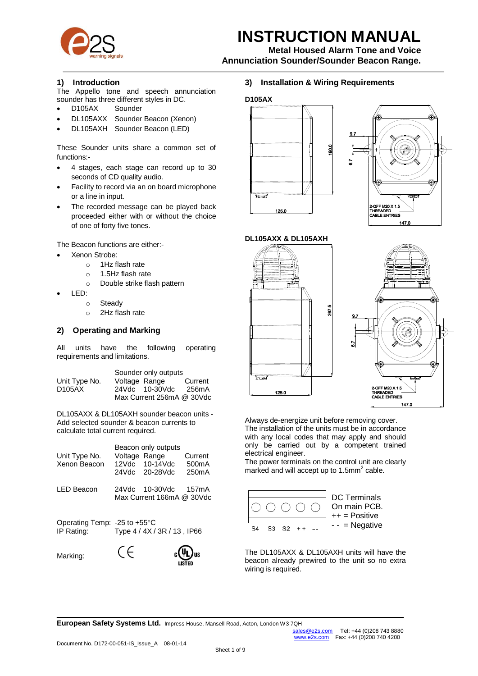

# **INSTRUCTION MANUAL**

**Metal Housed Alarm Tone and Voice**

**Annunciation Sounder/Sounder Beacon Range.**

### **1) Introduction**

The Appello tone and speech annunciation sounder has three different styles in DC.

- D105AX Sounder
- DL105AXX Sounder Beacon (Xenon)
- DL105AXH Sounder Beacon (LED)

These Sounder units share a common set of functions:-

- 4 stages, each stage can record up to 30 seconds of CD quality audio.
- Facility to record via an on board microphone or a line in input.
- The recorded message can be played back proceeded either with or without the choice of one of forty five tones.

The Beacon functions are either:-

- Xenon Strobe:
	- o 1Hz flash rate
	- o 1.5Hz flash rate
	- o Double strike flash pattern
- LED:
	- o Steady
	- o 2Hz flash rate

## **2) Operating and Marking**

All units have the following operating requirements and limitations.

|               |               | Sounder only outputs      |         |
|---------------|---------------|---------------------------|---------|
| Unit Type No. | Voltage Range |                           | Current |
| D105AX        |               | 24Vdc 10-30Vdc            | 256mA   |
|               |               | Max Current 256mA @ 30Vdc |         |

DL105AXX & DL105AXH sounder beacon units - Add selected sounder & beacon currents to calculate total current required.

| Unit Type No.<br>Xenon Beacon                        | Voltage Range | Beacon only outputs<br>12Vdc 10-14Vdc<br>24Vdc 20-28Vdc | Current<br>500 <sub>m</sub> A<br>250 <sub>m</sub> A |
|------------------------------------------------------|---------------|---------------------------------------------------------|-----------------------------------------------------|
| <b>LED Beacon</b>                                    |               | 24Vdc 10-30Vdc<br>Max Current 166mA @ 30Vdc             | 157mA                                               |
| Operating Temp: -25 to $+55^{\circ}$ C<br>IP Rating: |               | Type 4 / 4X / 3R / 13, IP66                             |                                                     |
| Marking:                                             |               |                                                         |                                                     |

## **3) Installation & Wiring Requirements**

#### **D105AX**









Always de-energize unit before removing cover. The installation of the units must be in accordance with any local codes that may apply and should only be carried out by a competent trained electrical engineer.

The power terminals on the control unit are clearly marked and will accept up to 1.5mm<sup>2</sup> cable.



DC Terminals On main PCB. ++ = Positive - - = Negative

The DL105AXX & DL105AXH units will have the beacon already prewired to the unit so no extra wiring is required.

**European Safety Systems Ltd.** Impress House, Mansell Road, Acton, London W3 7QH<br>sales @e2s.com

**LISTED**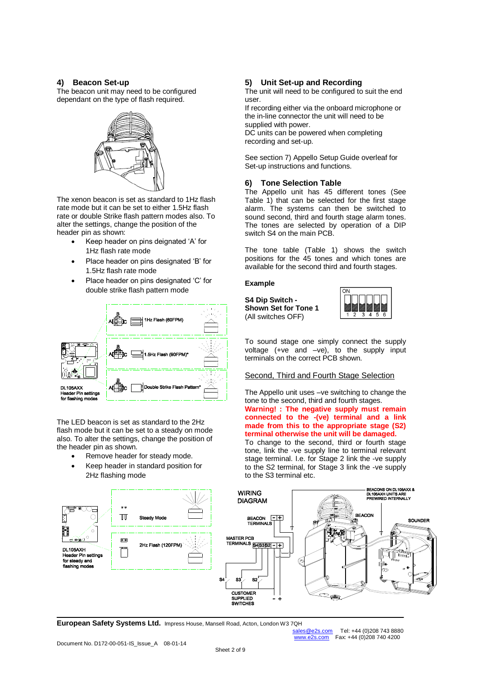#### **4) Beacon Set-up**

The beacon unit may need to be configured dependant on the type of flash required.



The xenon beacon is set as standard to 1Hz flash rate mode but it can be set to either 1.5Hz flash rate or double Strike flash pattern modes also. To alter the settings, change the position of the header pin as shown:

- Keep header on pins deignated 'A' for 1Hz flash rate mode
- Place header on pins designated 'B' for 1.5Hz flash rate mode
- Place header on pins designated 'C' for double strike flash pattern mode



The LED beacon is set as standard to the 2Hz flash mode but it can be set to a steady on mode also. To alter the settings, change the position of the header pin as shown.

- Remove header for steady mode.
- Keep header in standard position for 2Hz flashing mode

## **5) Unit Set-up and Recording**

The unit will need to be configured to suit the end user.

If recording either via the onboard microphone or the in-line connector the unit will need to be supplied with power.

DC units can be powered when completing recording and set-up.

See section 7) Appello Setup Guide overleaf for Set-up instructions and functions.

### **6) Tone Selection Table**

The Appello unit has 45 different tones (See Table 1) that can be selected for the first stage alarm. The systems can then be switched to sound second, third and fourth stage alarm tones. The tones are selected by operation of a DIP switch S4 on the main PCB.

The tone table (Table 1) shows the switch positions for the 45 tones and which tones are available for the second third and fourth stages.

#### **Example**

**S4 Dip Switch - Shown Set for Tone 1**  (All switches OFF)



To sound stage one simply connect the supply voltage (+ve and –ve), to the supply input terminals on the correct PCB shown.

#### Second, Third and Fourth Stage Selection

The Appello unit uses –ve switching to change the tone to the second, third and fourth stages. **Warning! : The negative supply must remain** 

## **connected to the -(ve) terminal and a link made from this to the appropriate stage (S2) terminal otherwise the unit will be damaged.**

To change to the second, third or fourth stage tone, link the -ve supply line to terminal relevant stage terminal. I.e. for Stage 2 link the -ve supply to the S2 terminal, for Stage 3 link the -ve supply to the S3 terminal etc.



**European Safety Systems Ltd.** Impress House, Mansell Road, Acton, London W3 7QH<br>sales @e2s.com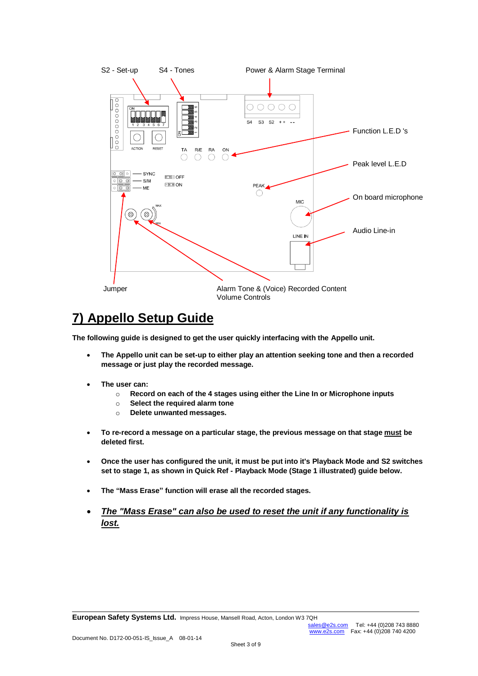

## **7) Appello Setup Guide**

**The following guide is designed to get the user quickly interfacing with the Appello unit.**

- **The Appello unit can be set-up to either play an attention seeking tone and then a recorded message or just play the recorded message.**
- **The user can:** 
	- o **Record on each of the 4 stages using either the Line In or Microphone inputs**
	- o **Select the required alarm tone**
	- o **Delete unwanted messages.**
- **To re-record a message on a particular stage, the previous message on that stage must be deleted first.**
- **Once the user has configured the unit, it must be put into it's Playback Mode and S2 switches set to stage 1, as shown in Quick Ref - Playback Mode (Stage 1 illustrated) guide below.**
- **The "Mass Erase" function will erase all the recorded stages.**
- *The "Mass Erase" can also be used to reset the unit if any functionality is lost.*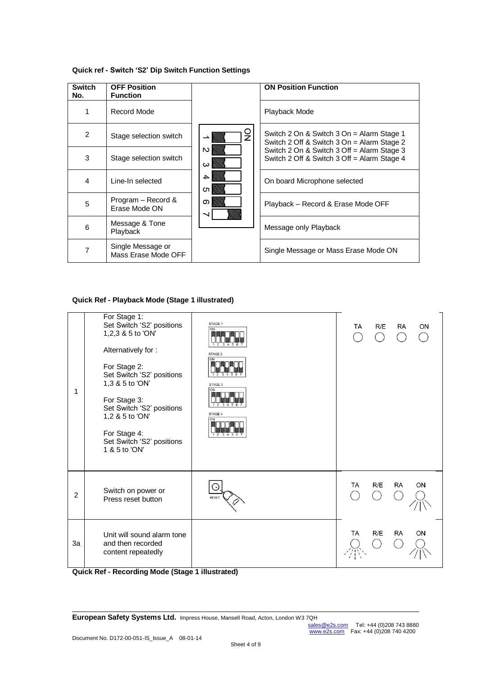| <b>Switch</b><br>No. | <b>OFF Position</b><br><b>Function</b>   |               | <b>ON Position Function</b>                                                               |
|----------------------|------------------------------------------|---------------|-------------------------------------------------------------------------------------------|
| 1                    | Record Mode                              |               | Playback Mode                                                                             |
| 2                    | Stage selection switch                   | g             | Switch 2 On & Switch 3 On = Alarm Stage 1<br>Switch 2 Off & Switch 3 On = Alarm Stage 2   |
| 3                    | Stage selection switch                   | N<br>$\omega$ | Switch 2 On & Switch 3 Off = Alarm Stage 3<br>Switch 2 Off & Switch 3 Off = Alarm Stage 4 |
| 4                    | Line-In selected                         | 4<br>CT.      | On board Microphone selected                                                              |
| 5                    | Program - Record &<br>Erase Mode ON      | თ             | Playback – Record & Erase Mode OFF                                                        |
| 6                    | Message & Tone<br>Playback               |               | Message only Playback                                                                     |
| 7                    | Single Message or<br>Mass Erase Mode OFF |               | Single Message or Mass Erase Mode ON                                                      |

#### **Quick ref - Switch 'S2' Dip Switch Function Settings**

#### **Quick Ref - Playback Mode (Stage 1 illustrated)**



**Quick Ref - Recording Mode (Stage 1 illustrated)**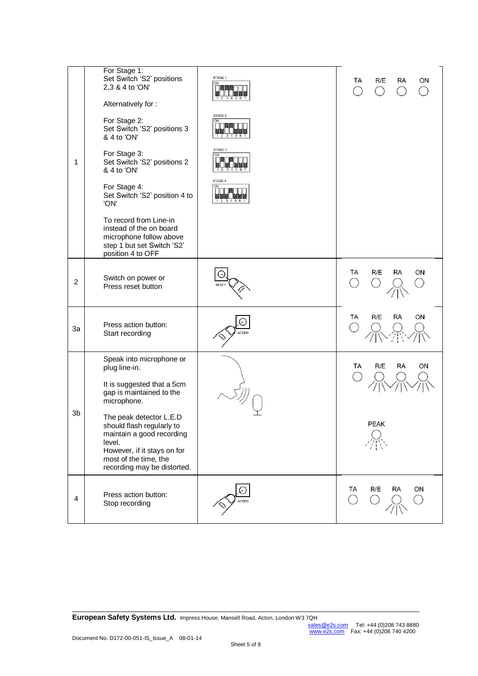|                | For Stage 1:<br>Set Switch 'S2' positions<br>2,3 & 4 to 'ON'<br>Alternatively for:                                                                                                 | STAGE 1 | R/E<br>TA<br>ON<br>RA        |
|----------------|------------------------------------------------------------------------------------------------------------------------------------------------------------------------------------|---------|------------------------------|
|                | For Stage 2:<br>Set Switch 'S2' positions 3<br>& 4 to 'ON'                                                                                                                         | STAGE 2 |                              |
| 1              | For Stage 3:<br>Set Switch 'S2' positions 2<br>& 4 to 'ON'                                                                                                                         | STAGE 3 |                              |
|                | For Stage 4:<br>Set Switch 'S2' position 4 to<br>'ON'                                                                                                                              | STAGE 4 |                              |
|                | To record from Line-in<br>instead of the on board<br>microphone follow above<br>step 1 but set Switch 'S2'<br>position 4 to OFF                                                    |         |                              |
| $\overline{c}$ | Switch on power or<br>Press reset button                                                                                                                                           |         | R/E<br>TA<br>RA<br>ON        |
| 3a             | Press action button:<br>Start recording                                                                                                                                            |         | <b>RA</b><br>R/E<br>ON<br>TA |
|                | Speak into microphone or<br>plug line-in.                                                                                                                                          |         | TA<br>R/E<br>RA<br>ΟN        |
|                | It is suggested that a 5cm<br>gap is maintained to the<br>microphone.                                                                                                              |         |                              |
| 3b             | The peak detector L.E.D<br>should flash regularly to<br>maintain a good recording<br>level.<br>However, if it stays on for<br>most of the time, the<br>recording may be distorted. |         | PEAK                         |
| 4              | Press action button:<br>Stop recording                                                                                                                                             |         | R/E<br>RA<br>ON<br>TA        |

**European Safety Systems Ltd.** Impress House, Mansell Road, Acton, London W3 7QH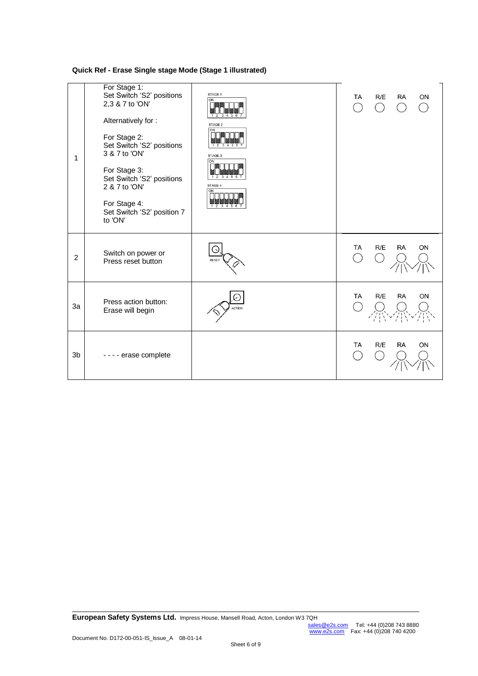**Quick Ref - Erase Single stage Mode (Stage 1 illustrated)**

| 1              | For Stage 1:<br>Set Switch 'S2' positions<br>2,3 & 7 to 'ON'<br>Alternatively for:<br>For Stage 2:<br>Set Switch 'S2' positions<br>3 & 7 to 'ON'<br>For Stage 3:<br>Set Switch 'S2' positions<br>2 & 7 to 'ON'<br>For Stage 4:<br>Set Switch 'S2' position 7<br>to 'ON' | STAGE 1<br>$\overline{ON}$<br>$\frac{2}{3}$ $\frac{3}{4}$ 5 6<br>STAGE 2<br>ON<br>123456<br>STAGE 3<br>ON<br>1 2 3 4 5 6<br>STAGE 4<br>ON<br>$1\;\;2\;\;3\;\;4\;\;5\;\;6$ | TA | R/E        | RA        | ON |
|----------------|-------------------------------------------------------------------------------------------------------------------------------------------------------------------------------------------------------------------------------------------------------------------------|---------------------------------------------------------------------------------------------------------------------------------------------------------------------------|----|------------|-----------|----|
| $\overline{2}$ | Switch on power or<br>Press reset button                                                                                                                                                                                                                                |                                                                                                                                                                           | TA | R/E        | <b>RA</b> | ON |
| 3a             | Press action button:<br>Erase will begin                                                                                                                                                                                                                                |                                                                                                                                                                           | TA | R/E<br>医旁腔 | <b>RA</b> | ON |
| 3 <sub>b</sub> | - - - - erase complete                                                                                                                                                                                                                                                  |                                                                                                                                                                           | TA | R/E        | <b>RA</b> | ON |

**European Safety Systems Ltd.** Impress House, Mansell Road, Acton, London W3 7QH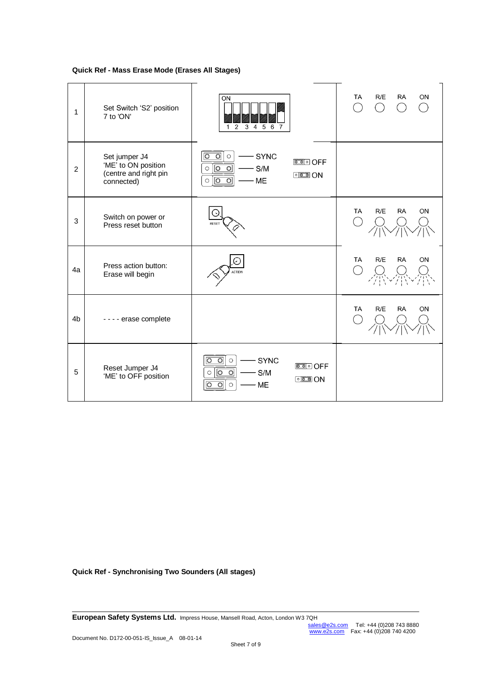**Quick Ref - Mass Erase Mode (Erases All Stages)**

| 1              | Set Switch 'S2' position<br>7 to 'ON'                                       | ON<br>$2\;\;3\;\;4\;\;5\;\;\overline{6}\;\;\overline{7}$<br>$\overline{1}$                                                                                   | <b>TA</b><br>R/E<br>ON<br>RA<br>$( \ )$<br>$\overline{\phantom{a}}$ |
|----------------|-----------------------------------------------------------------------------|--------------------------------------------------------------------------------------------------------------------------------------------------------------|---------------------------------------------------------------------|
| $\overline{2}$ | Set jumper J4<br>'ME' to ON position<br>(centre and right pin<br>connected) | $\overline{\circ}$<br><b>SYNC</b><br>$\circ$<br>$\bigcirc$<br>$\circ$<br>$\circ$<br>S/M<br>$\circ$<br>$000$ ON<br>$\overline{\circ}$<br>ଚ<br>ME<br>$\circ$   |                                                                     |
| 3              | Switch on power or<br>Press reset button                                    |                                                                                                                                                              | R/E<br><b>RA</b><br><b>TA</b><br>ON                                 |
| 4a             | Press action button:<br>Erase will begin                                    |                                                                                                                                                              | R/E<br><b>RA</b><br><b>TA</b><br>ON                                 |
| 4 <sub>b</sub> | - - - - erase complete                                                      |                                                                                                                                                              | R/E<br><b>RA</b><br><b>TA</b><br>ON                                 |
| 5              | Reset Jumper J4<br>'ME' to OFF position                                     | $\circ$<br><b>SYNC</b><br>$\circ$<br>$\circ$<br><u> எ</u> ெ OFF<br>$\overline{O}$<br>S/M<br>$\circ$<br>O<br>$000$ ON<br><b>ME</b><br>$\circ$<br>O<br>$\circ$ |                                                                     |

**Quick Ref - Synchronising Two Sounders (All stages)**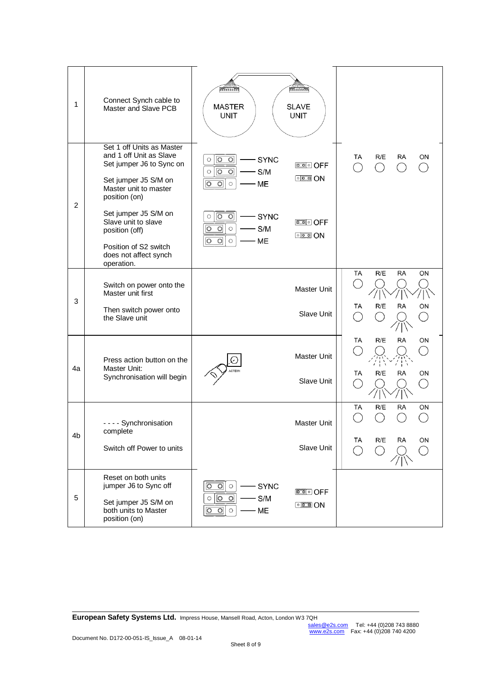| 1              | Connect Synch cable to<br>Master and Slave PCB                                                                                                     | 77111111<br><b>MASTER</b><br><b>UNIT</b>                                                                                                           | <b>BALLIS 1888</b><br><b>SLAVE</b><br><b>UNIT</b>                  |                                                                                          |
|----------------|----------------------------------------------------------------------------------------------------------------------------------------------------|----------------------------------------------------------------------------------------------------------------------------------------------------|--------------------------------------------------------------------|------------------------------------------------------------------------------------------|
|                | Set 1 off Units as Master<br>and 1 off Unit as Slave<br>Set jumper J6 to Sync on<br>Set jumper J5 S/M on<br>Master unit to master<br>position (on) | $\circ$<br>$\circ$<br><b>SYNC</b><br>$\bigcirc$<br>$\circ$<br>$\circ$<br>S/M<br>$\bigcirc$<br>ଚ<br>$\overline{\circ}$<br>ME<br>$\circ$             | $000$ ON                                                           | R/E<br>ТA<br>RA<br>ΟN<br>$\overline{\phantom{a}}$                                        |
| $\overline{2}$ | Set jumper J5 S/M on<br>Slave unit to slave<br>position (off)<br>Position of S2 switch<br>does not affect synch<br>operation.                      | $\overline{\circ}$<br>$\circ$<br><b>SYNC</b><br>$\bigcirc$<br>S/M<br>$\circ$<br>$\bigcirc$<br>$\circ$<br>ᅙ<br>$\overline{\circ}$<br>ME<br>$\circ$  | $\circ$ on                                                         |                                                                                          |
|                | Switch on power onto the<br>Master unit first                                                                                                      |                                                                                                                                                    | Master Unit                                                        | R/E<br><b>RA</b><br><b>TA</b><br>ON                                                      |
| 3              | Then switch power onto<br>the Slave unit                                                                                                           |                                                                                                                                                    | Slave Unit                                                         | R/E<br><b>RA</b><br>ON<br>TA                                                             |
| 4a             | Press action button on the<br>Master Unit:<br>Synchronisation will begin                                                                           |                                                                                                                                                    | Master Unit<br>Slave Unit                                          | R/E<br><b>RA</b><br>ON<br>TA<br>R/E<br><b>RA</b><br>TA<br>ON<br>$\overline{\phantom{a}}$ |
|                |                                                                                                                                                    |                                                                                                                                                    |                                                                    | R/E<br><b>RA</b><br>TA<br>ON                                                             |
| 4 <sub>b</sub> | - - - - Synchronisation<br>complete                                                                                                                |                                                                                                                                                    | Master Unit                                                        | Ô)<br>$\mathcal{L}$                                                                      |
|                | Switch off Power to units                                                                                                                          |                                                                                                                                                    | Slave Unit                                                         | R/E<br>TA<br>ON<br>RA<br>$\bigcap$<br>$( \ )$<br>$($ )                                   |
| 5              | Reset on both units<br>jumper J6 to Sync off<br>Set jumper J5 S/M on<br>both units to Master<br>position (on)                                      | $\circ$<br>$\overline{\circ}$<br><b>SYNC</b><br>$\circlearrowright$<br>$\overline{\circ}$<br>$\circ$<br>S/M<br>ME<br>$\circ$<br>$\circ$<br>$\circ$ | <b>DO</b> O OFF<br>$\circ$ $\circ$ $\circ$ $\circ$ $\circ$ $\circ$ |                                                                                          |

**European Safety Systems Ltd.** Impress House, Mansell Road, Acton, London W3 7QH